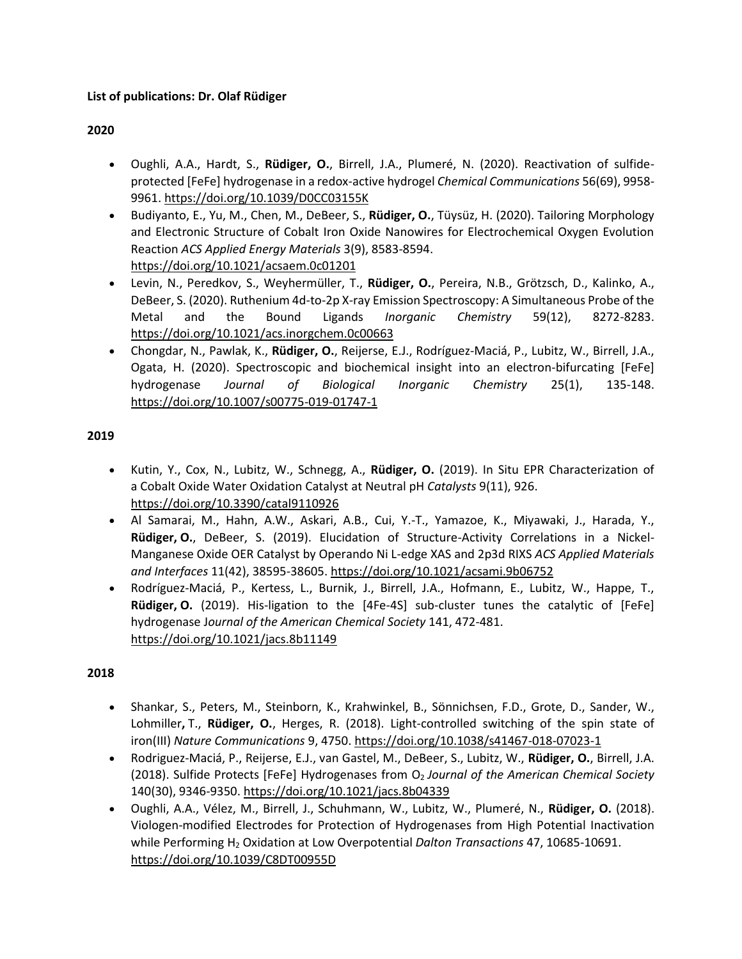# **List of publications: Dr. Olaf Rüdiger**

## **2020**

- Oughli, A.A., Hardt, S., **Rüdiger, O.**, Birrell, J.A., Plumeré, N. (2020). Reactivation of sulfideprotected [FeFe] hydrogenase in a redox-active hydrogel *Chemical Communications* 56(69), 9958- 9961[. https://doi.org/10.1039/D0CC03155K](https://doi.org/10.1039/D0CC03155K)
- Budiyanto, E., Yu, M., Chen, M., DeBeer, S., **Rüdiger, O.**, Tüysüz, H. (2020). Tailoring Morphology and Electronic Structure of Cobalt Iron Oxide Nanowires for Electrochemical Oxygen Evolution Reaction *ACS Applied Energy Materials* 3(9), 8583-8594. <https://doi.org/10.1021/acsaem.0c01201>
- Levin, N., Peredkov, S., Weyhermüller, T., **Rüdiger, O.**, Pereira, N.B., Grötzsch, D., Kalinko, A., DeBeer, S. (2020). Ruthenium 4d-to-2p X-ray Emission Spectroscopy: A Simultaneous Probe of the Metal and the Bound Ligands *Inorganic Chemistry* 59(12), 8272-8283. <https://doi.org/10.1021/acs.inorgchem.0c00663>
- Chongdar, N., Pawlak, K., **Rüdiger, O.**, Reijerse, E.J., Rodríguez-Maciá, P., Lubitz, W., Birrell, J.A., Ogata, H. (2020). Spectroscopic and biochemical insight into an electron-bifurcating [FeFe] hydrogenase *Journal of Biological Inorganic Chemistry* 25(1), 135-148. <https://doi.org/10.1007/s00775-019-01747-1>

## **2019**

- Kutin, Y., Cox, N., Lubitz, W., Schnegg, A., **Rüdiger, O.** (2019). In Situ EPR Characterization of a Cobalt Oxide Water Oxidation Catalyst at Neutral pH *Catalysts* 9(11), 926. <https://doi.org/10.3390/catal9110926>
- Al Samarai, M., Hahn, A.W., Askari, A.B., Cui, Y.-T., Yamazoe, K., Miyawaki, J., Harada, Y., **Rüdiger, O.**, DeBeer, S. (2019). Elucidation of Structure-Activity Correlations in a Nickel-Manganese Oxide OER Catalyst by Operando Ni L-edge XAS and 2p3d RIXS *ACS Applied Materials and Interfaces* 11(42), 38595-38605. <https://doi.org/10.1021/acsami.9b06752>
- Rodríguez-Maciá, P., Kertess, L., Burnik, J., Birrell, J.A., Hofmann, E., Lubitz, W., Happe, T., **Rüdiger, O.** (2019). His-ligation to the [4Fe-4S] sub-cluster tunes the catalytic of [FeFe] hydrogenase J*ournal of the American Chemical Society* 141, 472-481. <https://doi.org/10.1021/jacs.8b11149>

- Shankar, S., Peters, M., Steinborn, K., Krahwinkel, B., Sönnichsen, F.D., Grote, D., Sander, W., Lohmiller**,** T., **Rüdiger, O.**, Herges, R. (2018). Light-controlled switching of the spin state of iron(III) *Nature Communications* 9, 4750. <https://doi.org/10.1038/s41467-018-07023-1>
- Rodriguez-Maciá, P., Reijerse, E.J., van Gastel, M., DeBeer, S., Lubitz, W., **Rüdiger, O.**, Birrell, J.A. (2018). Sulfide Protects [FeFe] Hydrogenases from O<sup>2</sup> *Journal of the American Chemical Society* 140(30), 9346-9350. <https://doi.org/10.1021/jacs.8b04339>
- Oughli, A.A., Vélez, M., Birrell, J., Schuhmann, W., Lubitz, W., Plumeré, N., **Rüdiger, O.** (2018). Viologen-modified Electrodes for Protection of Hydrogenases from High Potential Inactivation while Performing H<sup>2</sup> Oxidation at Low Overpotential *Dalton Transactions* 47, 10685-10691. <https://doi.org/10.1039/C8DT00955D>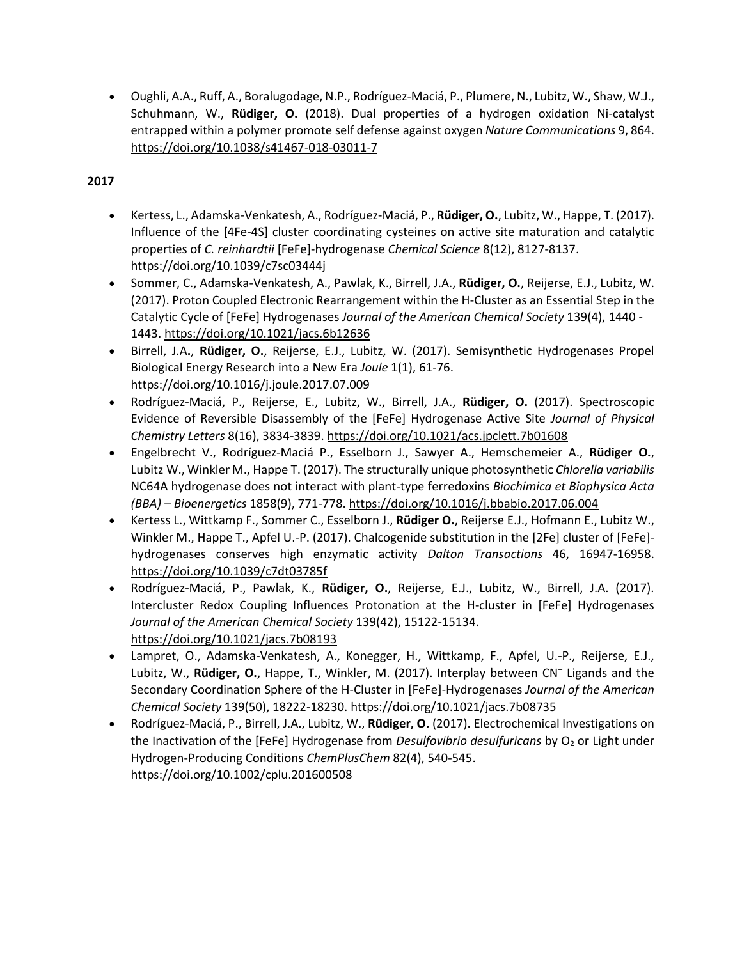• Oughli, A.A., Ruff, A., Boralugodage, N.P., Rodríguez-Maciá, P., Plumere, N., Lubitz, W., Shaw, W.J., Schuhmann, W., **Rüdiger, O.** (2018). Dual properties of a hydrogen oxidation Ni-catalyst entrapped within a polymer promote self defense against oxygen *Nature Communications* 9, 864. <https://doi.org/10.1038/s41467-018-03011-7>

- Kertess, L., Adamska-Venkatesh, A., Rodríguez-Maciá, P., **Rüdiger, O.**, Lubitz, W., Happe, T. (2017). Influence of the [4Fe-4S] cluster coordinating cysteines on active site maturation and catalytic properties of *C. reinhardtii* [FeFe]-hydrogenase *Chemical Science* 8(12), 8127-8137. <https://doi.org/10.1039/c7sc03444j>
- Sommer, C., Adamska-Venkatesh, A., Pawlak, K., Birrell, J.A., **Rüdiger, O.**, Reijerse, E.J., Lubitz, W. (2017). Proton Coupled Electronic Rearrangement within the H-Cluster as an Essential Step in the Catalytic Cycle of [FeFe] Hydrogenases *Journal of the American Chemical Society* 139(4), 1440 - 1443[. https://doi.org/10.1021/jacs.6b12636](https://doi.org/10.1021/jacs.6b12636)
- Birrell, J.A**.**, **Rüdiger, O.**, Reijerse, E.J., Lubitz, W. (2017). Semisynthetic Hydrogenases Propel Biological Energy Research into a New Era *Joule* 1(1), 61-76. <https://doi.org/10.1016/j.joule.2017.07.009>
- Rodríguez-Maciá, P., Reijerse, E., Lubitz, W., Birrell, J.A., **Rüdiger, O.** (2017). Spectroscopic Evidence of Reversible Disassembly of the [FeFe] Hydrogenase Active Site *Journal of Physical Chemistry Letters* 8(16), 3834-3839.<https://doi.org/10.1021/acs.jpclett.7b01608>
- Engelbrecht V., Rodríguez-Maciá P., Esselborn J., Sawyer A., Hemschemeier A., **Rüdiger O.**, Lubitz W., Winkler M., Happe T. (2017). The structurally unique photosynthetic *Chlorella variabilis* NC64A hydrogenase does not interact with plant-type ferredoxins *Biochimica et Biophysica Acta (BBA) – Bioenergetics* 1858(9), 771-778.<https://doi.org/10.1016/j.bbabio.2017.06.004>
- Kertess L., Wittkamp F., Sommer C., Esselborn J., **Rüdiger O.**, Reijerse E.J., Hofmann E., Lubitz W., Winkler M., Happe T., Apfel U.-P. (2017). Chalcogenide substitution in the [2Fe] cluster of [FeFe] hydrogenases conserves high enzymatic activity *Dalton Transactions* 46, 16947-16958. <https://doi.org/10.1039/c7dt03785f>
- Rodríguez-Maciá, P., Pawlak, K., **Rüdiger, O.**, Reijerse, E.J., Lubitz, W., Birrell, J.A. (2017). Intercluster Redox Coupling Influences Protonation at the H-cluster in [FeFe] Hydrogenases *Journal of the American Chemical Society* 139(42), 15122-15134. <https://doi.org/10.1021/jacs.7b08193>
- Lampret, O., Adamska-Venkatesh, A., Konegger, H., Wittkamp, F., Apfel, U.-P., Reijerse, E.J., Lubitz, W., **Rüdiger, O.**, Happe, T., Winkler, M. (2017). Interplay between CN– Ligands and the Secondary Coordination Sphere of the H-Cluster in [FeFe]-Hydrogenases *Journal of the American Chemical Society* 139(50), 18222-18230.<https://doi.org/10.1021/jacs.7b08735>
- Rodríguez-Maciá, P., Birrell, J.A., Lubitz, W., **Rüdiger, O.** (2017). Electrochemical Investigations on the Inactivation of the [FeFe] Hydrogenase from *Desulfovibrio desulfuricans* by O<sub>2</sub> or Light under Hydrogen-Producing Conditions *ChemPlusChem* 82(4), 540-545. <https://doi.org/10.1002/cplu.201600508>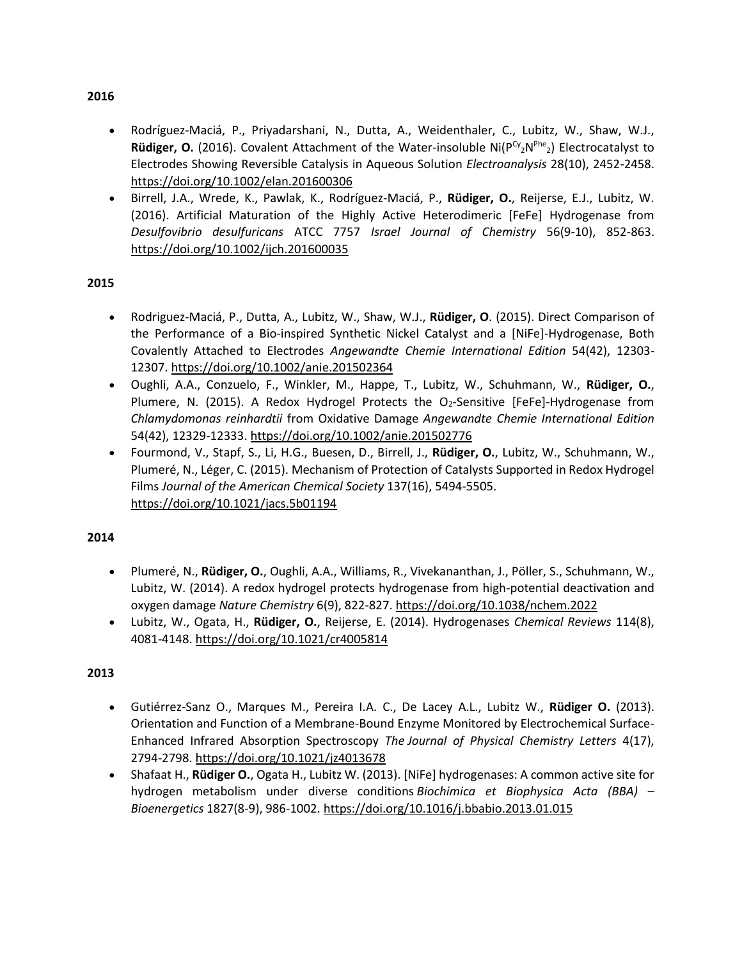- Rodríguez-Maciá, P., Priyadarshani, N., Dutta, A., Weidenthaler, C., Lubitz, W., Shaw, W.J., Rüdiger, O. (2016). Covalent Attachment of the Water-insoluble Ni(P<sup>cy</sup><sub>2</sub>N<sup>Phe</sup><sub>2</sub>) Electrocatalyst to Electrodes Showing Reversible Catalysis in Aqueous Solution *Electroanalysis* 28(10), 2452-2458. <https://doi.org/10.1002/elan.201600306>
- Birrell, J.A., Wrede, K., Pawlak, K., Rodríguez-Maciá, P., **Rüdiger, O.**, Reijerse, E.J., Lubitz, W. (2016). Artificial Maturation of the Highly Active Heterodimeric [FeFe] Hydrogenase from *Desulfovibrio desulfuricans* ATCC 7757 *Israel Journal of Chemistry* 56(9-10), 852-863. <https://doi.org/10.1002/ijch.201600035>

# **2015**

- Rodriguez-Maciá, P., Dutta, A., Lubitz, W., Shaw, W.J., **Rüdiger, O**. (2015). Direct Comparison of the Performance of a Bio-inspired Synthetic Nickel Catalyst and a [NiFe]-Hydrogenase, Both Covalently Attached to Electrodes *Angewandte Chemie International Edition* 54(42), 12303- 12307.<https://doi.org/10.1002/anie.201502364>
- Oughli, A.A., Conzuelo, F., Winkler, M., Happe, T., Lubitz, W., Schuhmann, W., **Rüdiger, O.**, Plumere, N. (2015). A Redox Hydrogel Protects the  $O<sub>2</sub>$ -Sensitive [FeFe]-Hydrogenase from *Chlamydomonas reinhardtii* from Oxidative Damage *Angewandte Chemie International Edition*  54(42), 12329-12333[. https://doi.org/10.1002/anie.201502776](https://doi.org/10.1002/anie.201502776)
- Fourmond, V., Stapf, S., Li, H.G., Buesen, D., Birrell, J., **Rüdiger, O.**, Lubitz, W., Schuhmann, W., Plumeré, N., Léger, C. (2015). Mechanism of Protection of Catalysts Supported in Redox Hydrogel Films *Journal of the American Chemical Society* 137(16), 5494-5505. <https://doi.org/10.1021/jacs.5b01194>

## **2014**

- Plumeré, N., **Rüdiger, O.**, Oughli, A.A., Williams, R., Vivekananthan, J., Pöller, S., Schuhmann, W., Lubitz, W. (2014). A redox hydrogel protects hydrogenase from high-potential deactivation and oxygen damage *Nature Chemistry* 6(9), 822-827[. https://doi.org/10.1038/nchem.2022](https://doi.org/10.1038/nchem.2022)
- Lubitz, W., Ogata, H., **Rüdiger, O.**, Reijerse, E. (2014). Hydrogenases *Chemical Reviews* 114(8), 4081-4148.<https://doi.org/10.1021/cr4005814>

## **2013**

- Gutiérrez-Sanz O., Marques M., Pereira I.A. C., De Lacey A.L., Lubitz W., **Rüdiger O.** (2013). Orientation and Function of a Membrane-Bound Enzyme Monitored by Electrochemical Surface-Enhanced Infrared Absorption Spectroscopy *The Journal of Physical Chemistry Letters* 4(17), 2794-2798. <https://doi.org/10.1021/jz4013678>
- Shafaat H., **Rüdiger O.**, Ogata H., Lubitz W. (2013). [NiFe] hydrogenases: A common active site for hydrogen metabolism under diverse conditions *Biochimica et Biophysica Acta (BBA) – Bioenergetics* 1827(8-9), 986-1002.<https://doi.org/10.1016/j.bbabio.2013.01.015>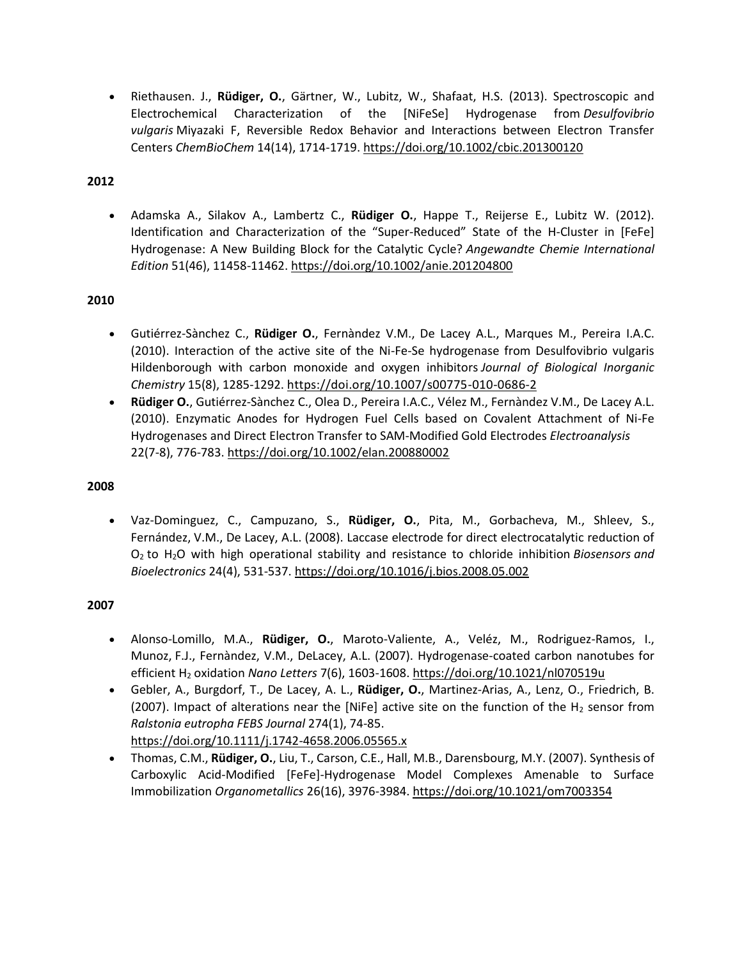• Riethausen. J., **Rüdiger, O.**, Gärtner, W., Lubitz, W., Shafaat, H.S. (2013). Spectroscopic and Electrochemical Characterization of the [NiFeSe] Hydrogenase from *Desulfovibrio vulgaris* Miyazaki F, Reversible Redox Behavior and Interactions between Electron Transfer Centers *ChemBioChem* 14(14), 1714-1719[. https://doi.org/10.1002/cbic.201300120](https://doi.org/10.1002/cbic.201300120)

## **2012**

• Adamska A., Silakov A., Lambertz C., **Rüdiger O.**, Happe T., Reijerse E., Lubitz W. (2012). Identification and Characterization of the "Super-Reduced" State of the H-Cluster in [FeFe] Hydrogenase: A New Building Block for the Catalytic Cycle? *Angewandte Chemie International Edition* 51(46), 11458-11462. <https://doi.org/10.1002/anie.201204800>

# **2010**

- Gutiérrez-Sànchez C., **Rüdiger O.**, Fernàndez V.M., De Lacey A.L., Marques M., Pereira I.A.C. (2010). Interaction of the active site of the Ni-Fe-Se hydrogenase from Desulfovibrio vulgaris Hildenborough with carbon monoxide and oxygen inhibitors *Journal of Biological Inorganic Chemistry* 15(8), 1285-1292. <https://doi.org/10.1007/s00775-010-0686-2>
- **Rüdiger O.**, Gutiérrez-Sànchez C., Olea D., Pereira I.A.C., Vélez M., Fernàndez V.M., De Lacey A.L. (2010). Enzymatic Anodes for Hydrogen Fuel Cells based on Covalent Attachment of Ni-Fe Hydrogenases and Direct Electron Transfer to SAM-Modified Gold Electrodes *Electroanalysis* 22(7-8), 776-783. <https://doi.org/10.1002/elan.200880002>

## **2008**

• Vaz-Dominguez, C., Campuzano, S., **Rüdiger, O.**, Pita, M., Gorbacheva, M., Shleev, S., Fernández, V.M., De Lacey, A.L. (2008). Laccase electrode for direct electrocatalytic reduction of O<sup>2</sup> to H2O with high operational stability and resistance to chloride inhibition *Biosensors and Bioelectronics* 24(4), 531-537. <https://doi.org/10.1016/j.bios.2008.05.002>

- Alonso-Lomillo, M.A., **Rüdiger, O.**, Maroto-Valiente, A., Veléz, M., Rodriguez-Ramos, I., Munoz, F.J., Fernàndez, V.M., DeLacey, A.L. (2007). Hydrogenase-coated carbon nanotubes for efficient H<sup>2</sup> oxidation *Nano Letters* 7(6), 1603-1608. <https://doi.org/10.1021/nl070519u>
- Gebler, A., Burgdorf, T., De Lacey, A. L., **Rüdiger, O.**, Martinez-Arias, A., Lenz, O., Friedrich, B. (2007). Impact of alterations near the [NiFe] active site on the function of the H<sub>2</sub> sensor from *Ralstonia eutropha FEBS Journal* 274(1), 74-85. <https://doi.org/10.1111/j.1742-4658.2006.05565.x>
- Thomas, C.M., **Rüdiger, O.**, Liu, T., Carson, C.E., Hall, M.B., Darensbourg, M.Y. (2007). Synthesis of Carboxylic Acid-Modified [FeFe]-Hydrogenase Model Complexes Amenable to Surface Immobilization *Organometallics* 26(16), 3976-3984. <https://doi.org/10.1021/om7003354>